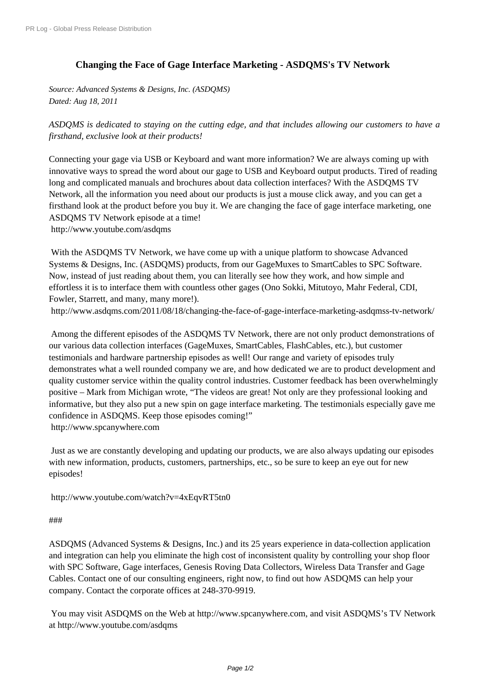## **[Changing the Face](http://www.prlog.org/) of Gage Interface Marketing - ASDQMS's TV Network**

*Source: Advanced Systems & Designs, Inc. (ASDQMS) Dated: Aug 18, 2011*

*ASDQMS is dedicated to staying on the cutting edge, and that includes allowing our customers to have a firsthand, exclusive look at their products!*

Connecting your gage via USB or Keyboard and want more information? We are always coming up with innovative ways to spread the word about our gage to USB and Keyboard output products. Tired of reading long and complicated manuals and brochures about data collection interfaces? With the ASDQMS TV Network, all the information you need about our products is just a mouse click away, and you can get a firsthand look at the product before you buy it. We are changing the face of gage interface marketing, one ASDQMS TV Network episode at a time! http://www.youtube.com/asdqms

 With the ASDQMS TV Network, we have come up with a unique platform to showcase Advanced Systems & Designs, Inc. (ASDQMS) products, from our GageMuxes to SmartCables to SPC Software. [Now, instead of just reading abou](http://www.prlog.org/11628882.html)t them, you can literally see how they work, and how simple and effortless it is to interface them with countless other gages (Ono Sokki, Mitutoyo, Mahr Federal, CDI, Fowler, Starrett, and many, many more!).

http://www.asdqms.com/2011/08/18/changing-the-face-of-gage-interface-marketing-asdqmss-tv-network/

 Among the different episodes of the ASDQMS TV Network, there are not only product demonstrations of our various data collection interfaces (GageMuxes, SmartCables, FlashCables, etc.), but customer [testimonials and hardware partnership episodes as well! Our range and variety of episodes truly](http://www.prlog.org/11628882.html) demonstrates what a well rounded company we are, and how dedicated we are to product development and quality customer service within the quality control industries. Customer feedback has been overwhelmingly positive – Mark from Michigan wrote, "The videos are great! Not only are they professional looking and informative, but they also put a new spin on gage interface marketing. The testimonials especially gave me confidence in ASDQMS. Keep those episodes coming!" http://www.spcanywhere.com

 Just as we are constantly developing and updating our products, we are also always updating our episodes with n[ew information, products](http://www.prlog.org/11628882.html), customers, partnerships, etc., so be sure to keep an eye out for new [episode](http://www.prlog.org/11628882.html)s!

http://www.youtube.com/watch?v=4xEqvRT5tn0

## ###

[ASDQMS \(Advanced Systems & Designs, Inc.\) an](http://www.prlog.org/11628882.html)d its 25 years experience in data-collection application and integration can help you eliminate the high cost of inconsistent quality by controlling your shop floor [with](http://www.prlog.org/11628882.html) SPC Software, Gage interfaces, Genesis Roving Data Collectors, Wireless Data Transfer and Gage Cables. Contact one of our consulting engineers, right now, to find out how ASDQMS can help your [company.](http://www.prlog.org/11628882.html) Contact the corporate offices at 248-370-9919.

 You may visit ASDQMS on the Web at http://www.spcanywhere.com, and visit ASDQMS's TV Network at http://www.youtube.com/asdqms